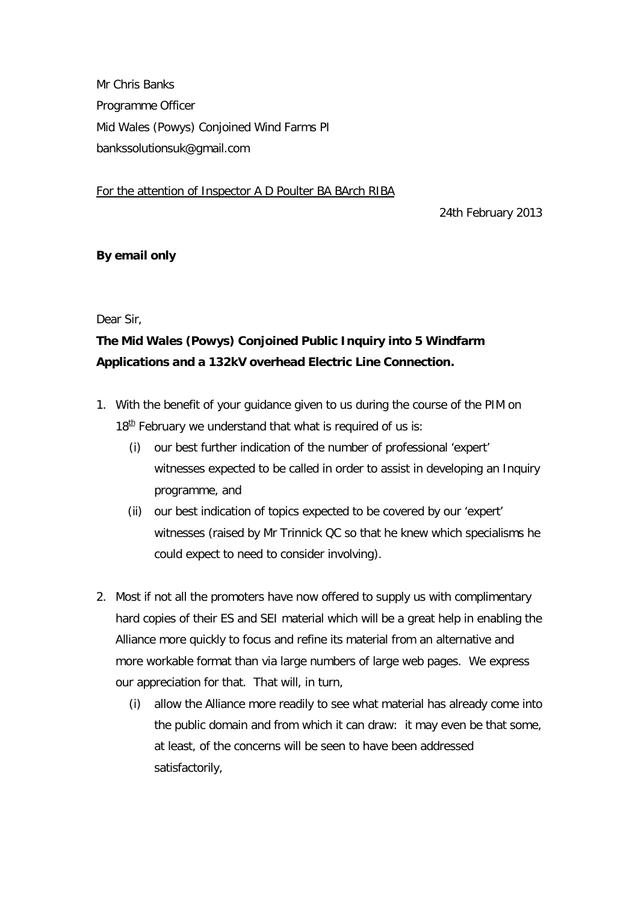Mr Chris Banks Programme Officer Mid Wales (Powys) Conjoined Wind Farms PI [bankssolutionsuk@gmail.com](mailto:bankssolutionsuk@gmail.com)

For the attention of Inspector A D Poulter BA BArch RIBA

24th February 2013

## **By email only**

Dear Sir,

## **The Mid Wales (Powys) Conjoined Public Inquiry into 5 Windfarm Applications and a 132kV overhead Electric Line Connection.**

- 1. With the benefit of your guidance given to us during the course of the PIM on  $18<sup>th</sup>$  February we understand that what is required of us is:
	- (i) our best further indication of the number of professional 'expert' witnesses expected to be called in order to assist in developing an Inquiry programme, and
	- (ii) our best indication of topics expected to be covered by our 'expert' witnesses (raised by Mr Trinnick QC so that he knew which specialisms he could expect to need to consider involving).
- 2. Most if not all the promoters have now offered to supply us with complimentary hard copies of their ES and SEI material which will be a great help in enabling the Alliance more quickly to focus and refine its material from an alternative and more workable format than via large numbers of large web pages. We express our appreciation for that. That will, in turn,
	- (i) allow the Alliance more readily to see what material has already come into the public domain and from which it can draw: it may even be that some, at least, of the concerns will be seen to have been addressed satisfactorily,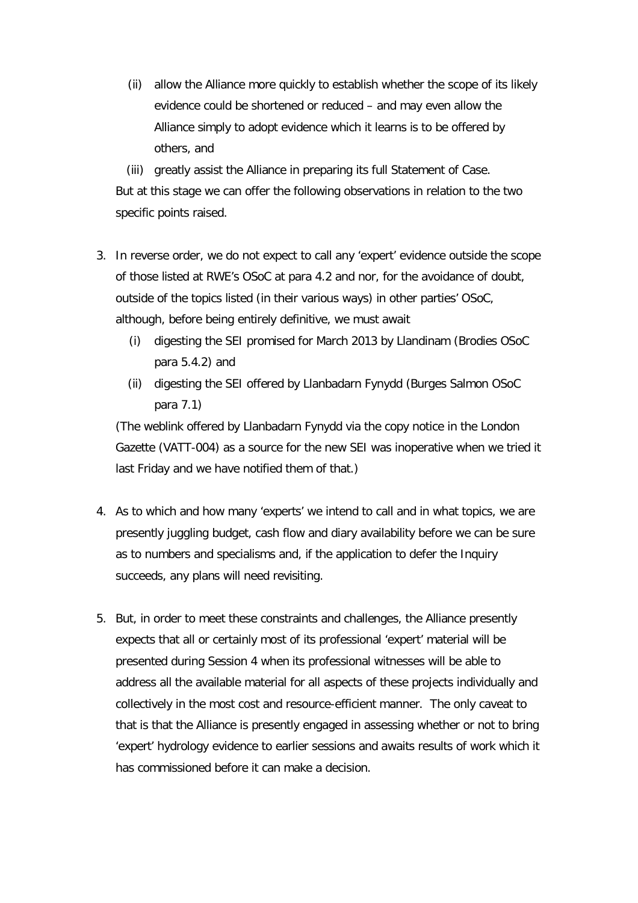(ii) allow the Alliance more quickly to establish whether the scope of its likely evidence could be shortened or reduced – and may even allow the Alliance simply to adopt evidence which it learns is to be offered by others, and

(iii) greatly assist the Alliance in preparing its full Statement of Case. But at this stage we can offer the following observations in relation to the two specific points raised.

- 3. In reverse order, we do not expect to call any 'expert' evidence outside the scope of those listed at RWE's OSoC at para 4.2 and nor, for the avoidance of doubt, outside of the topics listed (in their various ways) in other parties' OSoC, although, before being entirely definitive, we must await
	- (i) digesting the SEI promised for March 2013 by Llandinam (Brodies OSoC para 5.4.2) and
	- (ii) digesting the SEI offered by Llanbadarn Fynydd (Burges Salmon OSoC para 7.1)

(The weblink offered by Llanbadarn Fynydd via the copy notice in the London Gazette (VATT-004) as a source for the new SEI was inoperative when we tried it last Friday and we have notified them of that.)

- 4. As to which and how many 'experts' we intend to call and in what topics, we are presently juggling budget, cash flow and diary availability before we can be sure as to numbers and specialisms and, if the application to defer the Inquiry succeeds, any plans will need revisiting.
- 5. But, in order to meet these constraints and challenges, the Alliance presently expects that all or certainly most of its professional 'expert' material will be presented during Session 4 when its professional witnesses will be able to address all the available material for all aspects of these projects individually and collectively in the most cost and resource-efficient manner. The only caveat to that is that the Alliance is presently engaged in assessing whether or not to bring 'expert' hydrology evidence to earlier sessions and awaits results of work which it has commissioned before it can make a decision.